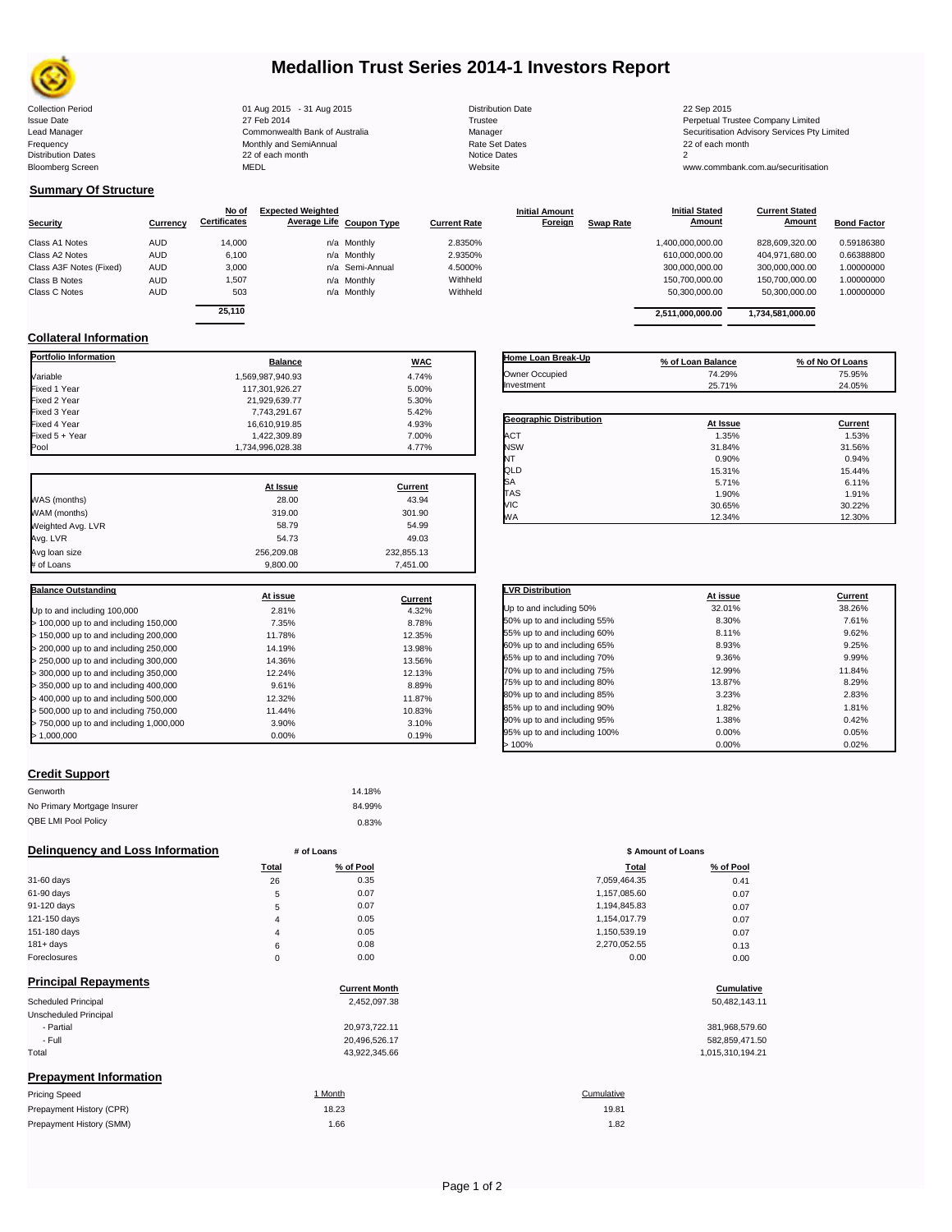

# **Medallion Trust Series 2014-1 Investors Report**

| <b>Collection Period</b>  | 01 Aug 2015 - 31 Aug 2015      | <b>Distribution Date</b> | 22 Sep 2015                             |
|---------------------------|--------------------------------|--------------------------|-----------------------------------------|
| <b>Issue Date</b>         | 27 Feb 2014                    | Trustee                  | Perpetual Trustee Company Limited       |
| Lead Manager              | Commonwealth Bank of Australia | Manager                  | Securitisation Advisory Services Pty Li |
| Frequency                 | Monthly and SemiAnnual         | <b>Rate Set Dates</b>    | 22 of each month                        |
| <b>Distribution Dates</b> | 22 of each month               | Notice Dates             |                                         |
| <b>Bloomberg Screen</b>   | <b>MEDL</b>                    | Website                  | www.commbank.com.au/securitisation      |
|                           |                                |                          |                                         |

## **Summary Of Structure**

|                         |            | No of               | <b>Expected Weighted</b> |                     | <b>Initial Amount</b>       | <b>Initial Stated</b> | <b>Current Stated</b> |                    |
|-------------------------|------------|---------------------|--------------------------|---------------------|-----------------------------|-----------------------|-----------------------|--------------------|
| <b>Security</b>         | Currency   | <b>Certificates</b> | Average Life Coupon Type | <b>Current Rate</b> | Foreign<br><b>Swap Rate</b> | Amount                | Amount                | <b>Bond Factor</b> |
| Class A1 Notes          | <b>AUD</b> | 14,000              | n/a Monthly              | 2.8350%             |                             | 1.400.000.000.00      | 828.609.320.00        | 0.59186380         |
| Class A2 Notes          | <b>AUD</b> | 6,100               | n/a Monthly              | 2.9350%             |                             | 610,000,000.00        | 404,971,680.00        | 0.66388800         |
| Class A3F Notes (Fixed) | <b>AUD</b> | 3,000               | n/a Semi-Annual          | 4.5000%             |                             | 300.000.000.00        | 300.000.000.00        | 1.00000000         |
| Class B Notes           | <b>AUD</b> | 1,507               | n/a Monthly              | Withheld            |                             | 150.700.000.00        | 150.700.000.00        | 1.00000000         |
| Class C Notes           | <b>AUD</b> | 503                 | n/a Monthly              | Withheld            |                             | 50,300,000.00         | 50,300,000.00         | 1.00000000         |
|                         |            | -- - - -            |                          |                     |                             |                       |                       |                    |

| Currency | No of<br><b>Certificates</b> | <b>Expected Weighted</b> | Average Life Coupon Type | <b>Current Rate</b> | <b>Initial Amount</b><br>Foreign | <b>Swap Rate</b> | <b>Initial Stated</b><br>Amount | <b>Current Stated</b><br><b>Amount</b> | <b>Bond Factor</b> |
|----------|------------------------------|--------------------------|--------------------------|---------------------|----------------------------------|------------------|---------------------------------|----------------------------------------|--------------------|
| AUD      | 14.000                       |                          | n/a Monthly              | 2.8350%             |                                  |                  | 00.000,000.00,00                | 828,609,320.00                         | 0.59186380         |
| AUD      | 6.100                        |                          | n/a Monthly              | 2.9350%             |                                  |                  | 610.000.000.00                  | 404,971,680.00                         | 0.66388800         |
| AUD      | 3.000                        |                          | n/a Semi-Annual          | 4.5000%             |                                  |                  | 300,000,000.00                  | 300,000,000.00                         | 1.00000000         |
| AUD      | 1,507                        |                          | n/a Monthly              | Withheld            |                                  |                  | 150.700.000.00                  | 150,700,000.00                         | 1.00000000         |
| AUD      | 503                          |                          | n/a Monthly              | Withheld            |                                  |                  | 50.300.000.00                   | 50.300.000.00                          | 1.00000000         |
|          | 25.110                       |                          |                          |                     |                                  |                  | 2,511,000,000.00                | 1,734,581,000.00                       |                    |

## **Collateral Information**

| <b>Portfolio Information</b>            | <b>Balance</b>   | <b>WAC</b> |
|-----------------------------------------|------------------|------------|
| Variable                                | 1.569.987.940.93 | 4.74%      |
| Fixed 1 Year                            | 117.301.926.27   | 5.00%      |
| Fixed 2 Year                            | 21,929,639.77    | 5.30%      |
| Fixed 3 Year                            | 7,743,291.67     | 5.42%      |
| Fixed 4 Year                            | 16,610,919.85    | 4.93%      |
| Fixed 5 + Year                          | 1,422,309.89     | 7.00%      |
| Pool                                    | 1,734,996,028.38 | 4.77%      |
|                                         | At Issue         | Current    |
| WAS (months)                            | 28.00            | 43.94      |
| WAM (months)                            | 319.00           | 301.90     |
| Weighted Avg. LVR                       | 58.79            | 54.99      |
| Avg. LVR                                | 54.73            | 49.03      |
| Avg loan size                           | 256,209.08       | 232,855.13 |
| # of Loans                              | 9,800.00         | 7,451.00   |
| <b>Balance Outstanding</b>              |                  |            |
|                                         | At issue         | Current    |
| Up to and including 100,000             | 2.81%            | 4.32%      |
| > 100,000 up to and including 150,000   | 7.35%            | 8.78%      |
| > 150,000 up to and including 200,000   | 11.78%           | 12.35%     |
| > 200,000 up to and including 250,000   | 14.19%           | 13.98%     |
| > 250,000 up to and including 300,000   | 14.36%           | 13.56%     |
| > 300,000 up to and including 350,000   | 12.24%           | 12.13%     |
| > 350,000 up to and including 400,000   | 9.61%            | 8.89%      |
| > 400,000 up to and including 500,000   | 12.32%           | 11.87%     |
| > 500,000 up to and including 750,000   | 11.44%           | 10.83%     |
| > 750,000 up to and including 1,000,000 | 3.90%            | 3.10%      |
| > 1,000,000                             | 0.00%            | 0.19%      |

### **Geographic Distribution**<br> **ACT ACT ACT ACT ACT CURRENT ACT CURRENT ACT CURRENT CONFIDENT CONFIDENT CONFIDENT CONFIDENT CONFIDENT CONFIDENT** <table>\n<tbody>\n<tr>\n<th>Geographic Distribution</th>\n<th>At Issue</th>\n<th>Current</th>\n</tr>\n<tr>\n<td>ACT</td>\n<td>1.35%</td>\n<td>1.53%</td>\n</tr>\n<tr>\n<td>NSW</td>\n<td>31.84%</td>\n<td>31.56%</td>\n</tr>\n</tbody>\n</table> NSW 31.84% 31.56% NT 0.90% 0.94% QLD 15.31% 15.44%  $SA$  6.11% 6.11% 6.11% TAS 1.90% 1.91% VIC 30.65% 30.22% WA 12.34% 12.30% **Home Loan Break-Up % of Loan Balance % of No Of Loans** Owner Occupied 74.29% 75.95% **Investment**

| <b>LVR Distribution</b>      | At issue | Current |
|------------------------------|----------|---------|
| Up to and including 50%      | 32.01%   | 38.26%  |
| 50% up to and including 55%  | 8.30%    | 7.61%   |
| 55% up to and including 60%  | 8.11%    | 9.62%   |
| 60% up to and including 65%  | 8.93%    | 9.25%   |
| 65% up to and including 70%  | 9.36%    | 9.99%   |
| 70% up to and including 75%  | 12.99%   | 11.84%  |
| 75% up to and including 80%  | 13.87%   | 8.29%   |
| 80% up to and including 85%  | 3.23%    | 2.83%   |
| 85% up to and including 90%  | 1.82%    | 1.81%   |
| 90% up to and including 95%  | 1.38%    | 0.42%   |
| 95% up to and including 100% | 0.00%    | 0.05%   |
| >100%                        | 0.00%    | 0.02%   |

### **Credit Support**

| Genworth                    | 14.18% |
|-----------------------------|--------|
| No Primary Mortgage Insurer | 84.99% |
| QBE LMI Pool Policy         | 0.83%  |

### **Delinquency and Loss Information # of Loans # of Loans \$** Amount of Loans

|              | Total    | % of Pool | Total        | % of Pool |
|--------------|----------|-----------|--------------|-----------|
| 31-60 days   | 26       | 0.35      | 7,059,464.35 | 0.41      |
| 61-90 days   | 5        | 0.07      | 1,157,085.60 | 0.07      |
| 91-120 days  | 5        | 0.07      | 1,194,845.83 | 0.07      |
| 121-150 days | 4        | 0.05      | 1,154,017.79 | 0.07      |
| 151-180 days | 4        | 0.05      | 1,150,539.19 | 0.07      |
| $181 + days$ | 6        | 0.08      | 2,270,052.55 | 0.13      |
| Foreclosures | $\Omega$ | 0.00      | 0.00         | 0.00      |
|              |          |           |              |           |

| <b>Principal Repayments</b>   | <b>Current Month</b> | Cumulative       |
|-------------------------------|----------------------|------------------|
| Scheduled Principal           | 2,452,097.38         | 50,482,143.11    |
| Unscheduled Principal         |                      |                  |
| - Partial                     | 20,973,722.11        | 381,968,579.60   |
| - Full                        | 20,496,526.17        | 582,859,471.50   |
| Total                         | 43,922,345.66        | 1,015,310,194.21 |
| <b>Prepayment Information</b> |                      |                  |
| <b>Pricing Speed</b>          | 1 Month              | Cumulative       |

| Pricing Speed            | וווטושו | <b>Culliulative</b> |
|--------------------------|---------|---------------------|
| Prepayment History (CPR) | 18.23   | 19.81               |
| Prepayment History (SMM) | 1.66    | 1.82                |

| Total | % of Pool | <b>Total</b> | % of Pool |
|-------|-----------|--------------|-----------|
| 26    | 0.35      | 7,059,464.35 | 0.41      |
| 5     | 0.07      | 1,157,085.60 | 0.07      |
| 5     | 0.07      | 1,194,845.83 | 0.07      |
| 4     | 0.05      | 1,154,017.79 | 0.07      |
| 4     | 0.05      | 1,150,539.19 | 0.07      |
| 6     | 0.08      | 2,270,052.55 | 0.13      |
| 0     | 0.00      | 0.00         | 0.00      |
|       |           |              |           |

# **Cumulative Cumulative**

| 381,968,579.60   |
|------------------|
| 582,859,471.50   |
| 1.015.310.194.21 |